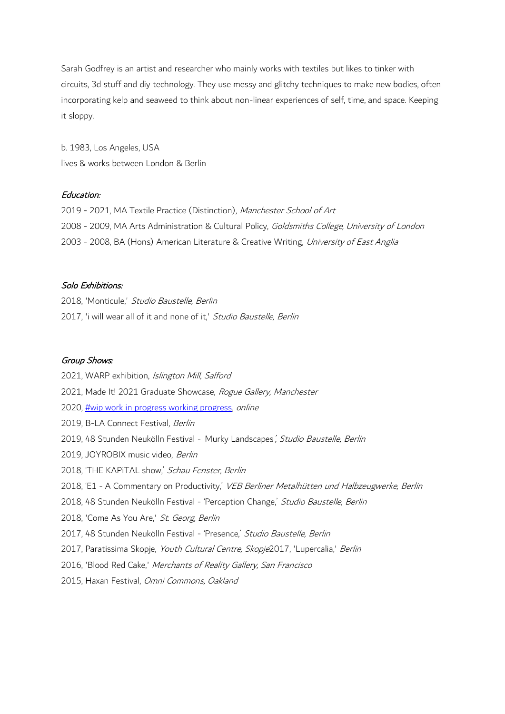Sarah Godfrey is an artist and researcher who mainly works with textiles but likes to tinker with circuits, 3d stuff and diy technology. They use messy and glitchy techniques to make new bodies, often incorporating kelp and seaweed to think about non-linear experiences of self, time, and space. Keeping it sloppy.

b. 1983, Los Angeles, USA lives & works between London & Berlin

## Education:

2019 - 2021, MA Textile Practice (Distinction), Manchester School of Art 2008 - 2009, MA Arts Administration & Cultural Policy, Goldsmiths College, University of London 2003 - 2008, BA (Hons) American Literature & Creative Writing, University of East Anglia

## Solo Exhibitions:

2018, 'Monticule,' Studio Baustelle, Berlin 2017, 'i will wear all of it and none of it,' Studio Baustelle, Berlin

#### Group Shows:

2021, WARP exhibition, Islington Mill, Salford 2021, Made It! 2021 Graduate Showcase, Rogue Gallery, Manchester 2020, [#wip work in progress working progress,](https://qap.digital/wip/) online 2019, B-LA Connect Festival, Berlin 2019, 48 Stunden Neukölln Festival - Murky Landscapes', Studio Baustelle, Berlin 2019, JOYROBIX music video, Berlin 2018, 'THE KAPITAL show,' Schau Fenster, Berlin 2018, 'E1 - A Commentary on Productivity,' VEB Berliner Metalhütten und Halbzeugwerke, Berlin 2018, 48 Stunden Neukölln Festival - 'Perception Change,' Studio Baustelle, Berlin 2018, 'Come As You Are,' St. Georg, Berlin 2017, 48 Stunden Neukölln Festival - 'Presence,' Studio Baustelle, Berlin 2017, Paratissima Skopje, Youth Cultural Centre, Skopje2017, 'Lupercalia,' Berlin 2016, 'Blood Red Cake,' Merchants of Reality Gallery, San Francisco 2015, Haxan Festival, Omni Commons, Oakland